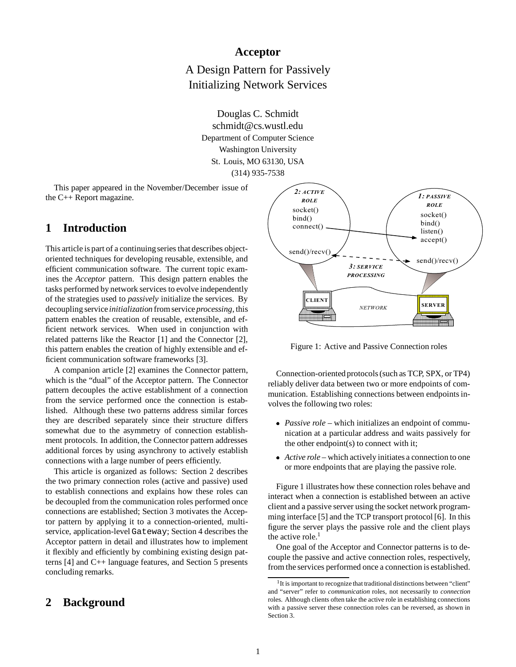## **Acceptor**

A Design Pattern for Passively Initializing Network Services

> Douglas C. Schmidt schmidt@cs.wustl.edu Department of Computer Science Washington University St. Louis, MO 63130, USA (314) 935-7538

This paper appeared in the November/December issue of the C++ Report magazine.

## **1 Introduction**

This article is part of a continuing series that describes objectoriented techniques for developing reusable, extensible, and efficient communication software. The current topic examines the *Acceptor* pattern. This design pattern enables the tasks performed by network services to evolve independently of the strategies used to *passively* initialize the services. By decoupling service *initialization* from service *processing*, this pattern enables the creation of reusable, extensible, and efficient network services. When used in conjunction with related patterns like the Reactor [1] and the Connector [2], this pattern enables the creation of highly extensible and efficient communication software frameworks [3].

A companion article [2] examines the Connector pattern, which is the "dual" of the Acceptor pattern. The Connector pattern decouples the active establishment of a connection from the service performed once the connection is established. Although these two patterns address similar forces they are described separately since their structure differs somewhat due to the asymmetry of connection establishment protocols. In addition, the Connector pattern addresses additional forces by using asynchrony to actively establish connections with a large number of peers efficiently.

This article is organized as follows: Section 2 describes the two primary connection roles (active and passive) used to establish connections and explains how these roles can be decoupled from the communication roles performed once connections are established; Section 3 motivates the Acceptor pattern by applying it to a connection-oriented, multiservice, application-level Gateway; Section 4 describes the Acceptor pattern in detail and illustrates how to implement it flexibly and efficiently by combining existing design patterns [4] and C++ language features, and Section 5 presents concluding remarks.

### **2 Background**



Figure 1: Active and Passive Connection roles

Connection-oriented protocols (such as TCP, SPX, or TP4) reliably deliver data between two or more endpoints of communication. Establishing connections between endpoints involves the following two roles:

- *Passive role* which initializes an endpoint of communication at a particular address and waits passively for the other endpoint(s) to connect with it;
- *Active role* which actively initiates a connection to one or more endpoints that are playing the passive role.

Figure 1 illustrates how these connection roles behave and interact when a connection is established between an active client and a passive server using the socket network programming interface [5] and the TCP transport protocol [6]. In this figure the server plays the passive role and the client plays the active role.<sup>1</sup>

One goal of the Acceptor and Connector patterns is to decouple the passive and active connection roles, respectively, from the services performed once a connection is established.

 $1$ It is important to recognize that traditional distinctions between "client" and "server" refer to *communication* roles, not necessarily to *connection* roles. Although clients often take the active role in establishing connections with a passive server these connection roles can be reversed, as shown in Section 3.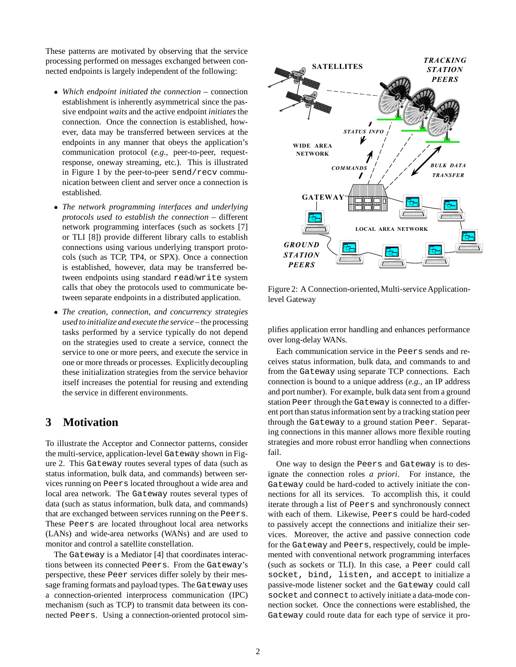These patterns are motivated by observing that the service processing performed on messages exchanged between connected endpoints is largely independent of the following:

- *Which endpoint initiated the connection* connection establishment is inherently asymmetrical since the passive endpoint *waits* and the active endpoint *initiates*the connection. Once the connection is established, however, data may be transferred between services at the endpoints in any manner that obeys the application's communication protocol (*e.g.,* peer-to-peer, requestresponse, oneway streaming, etc.). This is illustrated in Figure 1 by the peer-to-peer send/recv communication between client and server once a connection is established.
- *The network programming interfaces and underlying protocols used to establish the connection* – different network programming interfaces (such as sockets [7] or TLI [8]) provide different library calls to establish connections using various underlying transport protocols (such as TCP, TP4, or SPX). Once a connection is established, however, data may be transferred between endpoints using standard read/write system calls that obey the protocols used to communicate between separate endpoints in a distributed application.
- *The creation, connection, and concurrency strategies used to initialize and execute the service* – the processing tasks performed by a service typically do not depend on the strategies used to create a service, connect the service to one or more peers, and execute the service in one or more threads or processes. Explicitly decoupling these initialization strategies from the service behavior itself increases the potential for reusing and extending the service in different environments.

## **3 Motivation**

To illustrate the Acceptor and Connector patterns, consider the multi-service, application-level Gateway shown in Figure 2. This Gateway routes several types of data (such as status information, bulk data, and commands) between services running on Peers located throughout a wide area and local area network. The Gateway routes several types of data (such as status information, bulk data, and commands) that are exchanged between services running on the Peers. These Peers are located throughout local area networks (LANs) and wide-area networks (WANs) and are used to monitor and control a satellite constellation.

The Gateway is a Mediator [4] that coordinates interactions between its connected Peers. From the Gateway's perspective, these Peer services differ solely by their message framing formats and payload types. The Gateway uses a connection-oriented interprocess communication (IPC) mechanism (such as TCP) to transmit data between its connected Peers. Using a connection-oriented protocol sim-



Figure 2: A Connection-oriented, Multi-service Applicationlevel Gateway

plifies application error handling and enhances performance over long-delay WANs.

Each communication service in the Peers sends and receives status information, bulk data, and commands to and from the Gateway using separate TCP connections. Each connection is bound to a unique address (*e.g.,* an IP address and port number). For example, bulk data sent from a ground station Peer through the Gateway is connected to a different port than status information sent by a tracking station peer through the Gateway to a ground station Peer. Separating connections in this manner allows more flexible routing strategies and more robust error handling when connections fail.

One way to design the Peers and Gateway is to designate the connection roles *a priori*. For instance, the Gateway could be hard-coded to actively initiate the connections for all its services. To accomplish this, it could iterate through a list of Peers and synchronously connect with each of them. Likewise, Peers could be hard-coded to passively accept the connections and initialize their services. Moreover, the active and passive connection code for the Gateway and Peers, respectively, could be implemented with conventional network programming interfaces (such as sockets or TLI). In this case, a Peer could call socket, bind, listen, and accept to initialize a passive-mode listener socket and the Gateway could call socket and connect to actively initiate a data-mode connection socket. Once the connections were established, the Gateway could route data for each type of service it pro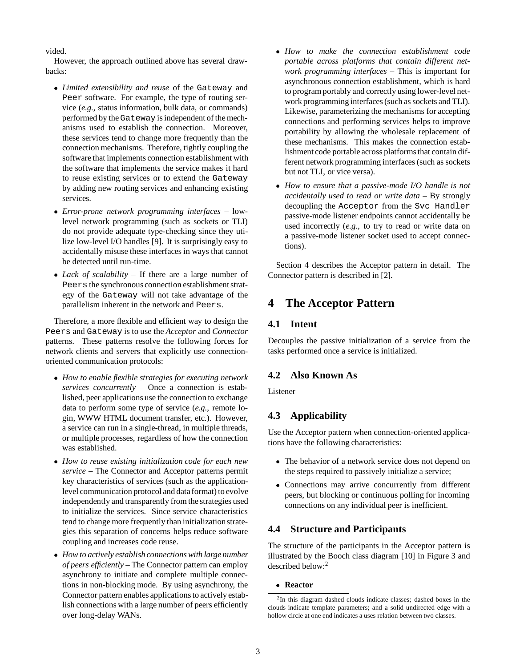vided.

However, the approach outlined above has several drawbacks:

- *Limited extensibility and reuse* of the Gateway and Peer software. For example, the type of routing service (*e.g.,* status information, bulk data, or commands) performed by the Gateway is independent of the mechanisms used to establish the connection. Moreover, these services tend to change more frequently than the connection mechanisms. Therefore, tightly coupling the software that implements connection establishment with the software that implements the service makes it hard to reuse existing services or to extend the Gateway by adding new routing services and enhancing existing services.
- *Error-prone network programming interfaces* lowlevel network programming (such as sockets or TLI) do not provide adequate type-checking since they utilize low-level I/O handles [9]. It is surprisingly easy to accidentally misuse these interfaces in ways that cannot be detected until run-time.
- *Lack of scalability* If there are a large number of Peers the synchronous connection establishment strategy of the Gateway will not take advantage of the parallelism inherent in the network and Peers.

Therefore, a more flexible and efficient way to design the Peers and Gateway is to use the *Acceptor* and *Connector* patterns. These patterns resolve the following forces for network clients and servers that explicitly use connectionoriented communication protocols:

- *How to enable flexible strategies for executing network services concurrently* – Once a connection is established, peer applications use the connection to exchange data to perform some type of service (*e.g.,* remote login, WWW HTML document transfer, etc.). However, a service can run in a single-thread, in multiple threads, or multiple processes, regardless of how the connection was established.
- *How to reuse existing initialization code for each new service* – The Connector and Acceptor patterns permit key characteristics of services (such as the applicationlevel communication protocol and data format) to evolve independently and transparently from the strategies used to initialize the services. Since service characteristics tend to change more frequently than initializationstrategies this separation of concerns helps reduce software coupling and increases code reuse.
- *How to actively establish connections with large number of peers efficiently* – The Connector pattern can employ asynchrony to initiate and complete multiple connections in non-blocking mode. By using asynchrony, the Connector pattern enables applications to actively establish connections with a large number of peers efficiently over long-delay WANs.
- *How to make the connection establishment code portable across platforms that contain different network programming interfaces* – This is important for asynchronous connection establishment, which is hard to program portably and correctly using lower-level network programming interfaces (such as sockets and TLI). Likewise, parameterizing the mechanisms for accepting connections and performing services helps to improve portability by allowing the wholesale replacement of these mechanisms. This makes the connection establishment code portable across platforms that contain different network programming interfaces (such as sockets but not TLI, or vice versa).
- *How to ensure that a passive-mode I/O handle is not accidentally used to read or write data* – By strongly decoupling the Acceptor from the Svc Handler passive-mode listener endpoints cannot accidentally be used incorrectly (*e.g.,* to try to read or write data on a passive-mode listener socket used to accept connections).

Section 4 describes the Acceptor pattern in detail. The Connector pattern is described in [2].

# **4 The Acceptor Pattern**

### **4.1 Intent**

Decouples the passive initialization of a service from the tasks performed once a service is initialized.

## **4.2 Also Known As**

Listener

## **4.3 Applicability**

Use the Acceptor pattern when connection-oriented applications have the following characteristics:

- The behavior of a network service does not depend on the steps required to passively initialize a service;
- Connections may arrive concurrently from different peers, but blocking or continuous polling for incoming connections on any individual peer is inefficient.

## **4.4 Structure and Participants**

The structure of the participants in the Acceptor pattern is illustrated by the Booch class diagram [10] in Figure 3 and described below:<sup>2</sup>

**Reactor**

<sup>2</sup>In this diagram dashed clouds indicate classes; dashed boxes in the clouds indicate template parameters; and a solid undirected edge with a hollow circle at one end indicates a uses relation between two classes.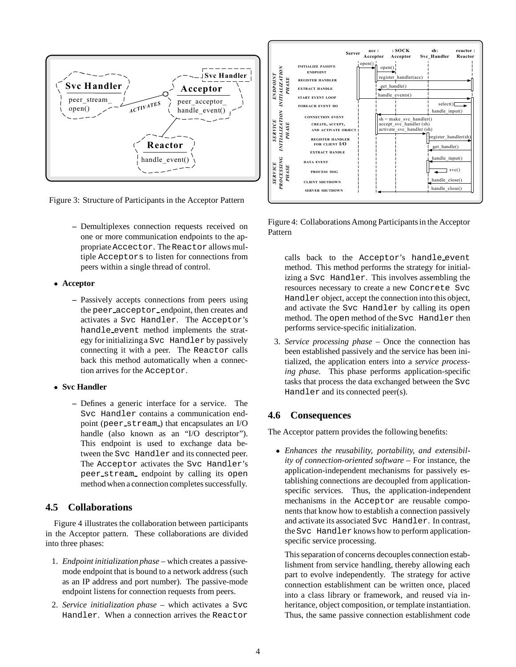

Figure 3: Structure of Participants in the Acceptor Pattern

**–** Demultiplexes connection requests received on one or more communication endpoints to the appropriate Accector. The Reactor allows multiple Acceptors to listen for connections from peers within a single thread of control.

#### **Acceptor**

**–** Passively accepts connections from peers using the peer acceptor endpoint, then creates and activates a Svc Handler. The Acceptor's handle event method implements the strategy for initializinga Svc Handler by passively connecting it with a peer. The Reactor calls back this method automatically when a connection arrives for the Acceptor.

#### **Svc Handler**

**–** Defines a generic interface for a service. The Svc Handler contains a communication endpoint (peer stream ) that encapsulates an I/O handle (also known as an "I/O descriptor"). This endpoint is used to exchange data between the Svc Handler and its connected peer. The Acceptor activates the Svc Handler's peer stream endpoint by calling its open method when a connection completes successfully.

### **4.5 Collaborations**

Figure 4 illustrates the collaboration between participants in the Acceptor pattern. These collaborations are divided into three phases:

- 1. *Endpoint initialization phase* which creates a passivemode endpoint that is bound to a network address (such as an IP address and port number). The passive-mode endpoint listens for connection requests from peers.
- 2. *Service initialization phase* which activates a Svc Handler. When a connection arrives the Reactor



Figure 4: Collaborations Among Participants in the Acceptor Pattern

calls back to the Acceptor's handle event method. This method performs the strategy for initializing a Svc Handler. This involves assembling the resources necessary to create a new Concrete Svc Handler object, accept the connection into this object, and activate the Svc Handler by calling its open method. The open method of the Svc Handler then performs service-specific initialization.

3. *Service processing phase* – Once the connection has been established passively and the service has been initialized, the application enters into a *service processing phase*. This phase performs application-specific tasks that process the data exchanged between the Svc Handler and its connected peer(s).

### **4.6 Consequences**

The Acceptor pattern provides the following benefits:

 *Enhances the reusability, portability, and extensibility of connection-oriented software* – For instance, the application-independent mechanisms for passively establishing connections are decoupled from applicationspecific services. Thus, the application-independent mechanisms in the Acceptor are reusable components that know how to establish a connection passively and activate its associated Svc Handler. In contrast, the Svc Handler knows how to perform applicationspecific service processing.

This separation of concerns decouples connection establishment from service handling, thereby allowing each part to evolve independently. The strategy for active connection establishment can be written once, placed into a class library or framework, and reused via inheritance, object composition, or template instantiation. Thus, the same passive connection establishment code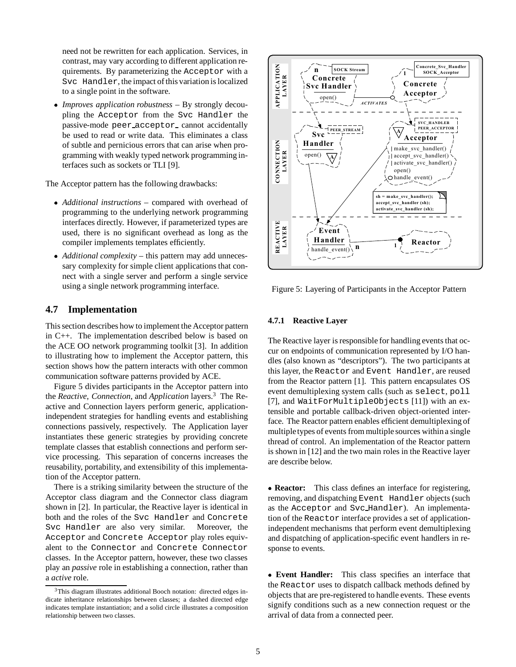need not be rewritten for each application. Services, in contrast, may vary according to different application requirements. By parameterizing the Acceptor with a Svc Handler, the impact of this variation is localized to a single point in the software.

 *Improves application robustness* – By strongly decoupling the Acceptor from the Svc Handler the passive-mode peer acceptor cannot accidentally be used to read or write data. This eliminates a class of subtle and pernicious errors that can arise when programming with weakly typed network programming interfaces such as sockets or TLI [9].

The Acceptor pattern has the following drawbacks:

- *Additional instructions* compared with overhead of programming to the underlying network programming interfaces directly. However, if parameterized types are used, there is no significant overhead as long as the compiler implements templates efficiently.
- *Additional complexity* this pattern may add unnecessary complexity for simple client applications that connect with a single server and perform a single service using a single network programming interface.

### **4.7 Implementation**

This section describes how to implement the Acceptor pattern in C++. The implementation described below is based on the ACE OO network programming toolkit [3]. In addition to illustrating how to implement the Acceptor pattern, this section shows how the pattern interacts with other common communication software patterns provided by ACE.

Figure 5 divides participants in the Acceptor pattern into the *Reactive*, *Connection*, and *Application* layers.3 The Reactive and Connection layers perform generic, applicationindependent strategies for handling events and establishing connections passively, respectively. The Application layer instantiates these generic strategies by providing concrete template classes that establish connections and perform service processing. This separation of concerns increases the reusability, portability, and extensibility of this implementation of the Acceptor pattern.

There is a striking similarity between the structure of the Acceptor class diagram and the Connector class diagram shown in [2]. In particular, the Reactive layer is identical in both and the roles of the Svc Handler and Concrete Svc Handler are also very similar. Moreover, the Acceptor and Concrete Acceptor play roles equivalent to the Connector and Concrete Connector classes. In the Acceptor pattern, however, these two classes play an *passive* role in establishing a connection, rather than a *active* role.



Figure 5: Layering of Participants in the Acceptor Pattern

#### **4.7.1 Reactive Layer**

The Reactive layer is responsible for handling events that occur on endpoints of communication represented by I/O handles (also known as "descriptors"). The two participants at this layer, the Reactor and Event Handler, are reused from the Reactor pattern [1]. This pattern encapsulates OS event demultiplexing system calls (such as select, poll [7], and WaitForMultipleObjects [11]) with an extensible and portable callback-driven object-oriented interface. The Reactor pattern enables efficient demultiplexing of multipletypes of events from multiple sources within a single thread of control. An implementation of the Reactor pattern is shown in [12] and the two main roles in the Reactive layer are describe below.

 **Reactor:** This class defines an interface for registering, removing, and dispatching Event Handler objects (such as the Acceptor and Svc Handler). An implementation of the Reactor interface provides a set of applicationindependent mechanisms that perform event demultiplexing and dispatching of application-specific event handlers in response to events.

 **Event Handler:** This class specifies an interface that the Reactor uses to dispatch callback methods defined by objects that are pre-registered to handle events. These events signify conditions such as a new connection request or the arrival of data from a connected peer.

<sup>&</sup>lt;sup>3</sup>This diagram illustrates additional Booch notation: directed edges indicate inheritance relationships between classes; a dashed directed edge indicates template instantiation; and a solid circle illustrates a composition relationship between two classes.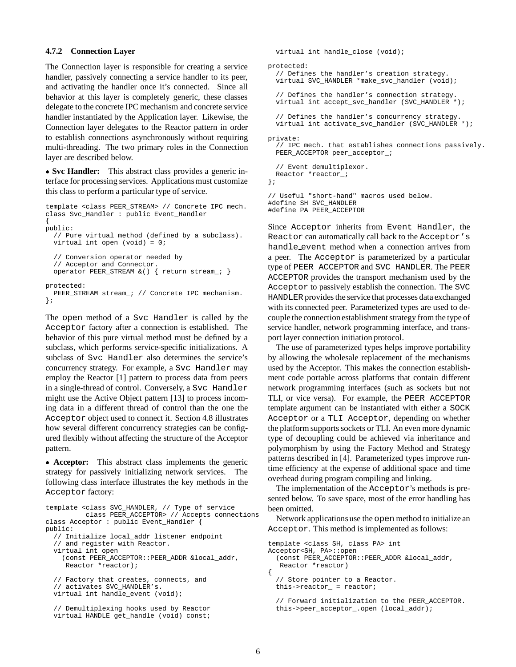#### **4.7.2 Connection Layer**

The Connection layer is responsible for creating a service handler, passively connecting a service handler to its peer, and activating the handler once it's connected. Since all behavior at this layer is completely generic, these classes delegate to the concrete IPC mechanism and concrete service handler instantiated by the Application layer. Likewise, the Connection layer delegates to the Reactor pattern in order to establish connections asynchronously without requiring multi-threading. The two primary roles in the Connection layer are described below.

 **Svc Handler:** This abstract class provides a generic interface for processing services. Applications must customize this class to perform a particular type of service.

```
template <class PEER_STREAM> // Concrete IPC mech.
class Svc_Handler : public Event_Handler
{
public:
  // Pure virtual method (defined by a subclass).
  virtual int open (void) = 0;
  // Conversion operator needed by
  // Acceptor and Connector.
  operator PEER STREAM \& () { return stream ; }
protected:
 PEER_STREAM stream_; // Concrete IPC mechanism.
};
```
The open method of a Svc Handler is called by the Acceptor factory after a connection is established. The behavior of this pure virtual method must be defined by a subclass, which performs service-specific initializations. A subclass of Svc Handler also determines the service's concurrency strategy. For example, a Svc Handler may employ the Reactor [1] pattern to process data from peers in a single-thread of control. Conversely, a Svc Handler might use the Active Object pattern [13] to process incoming data in a different thread of control than the one the Acceptor object used to connect it. Section 4.8 illustrates how several different concurrency strategies can be configured flexibly without affecting the structure of the Acceptor pattern.

 **Acceptor:** This abstract class implements the generic strategy for passively initializing network services. The following class interface illustrates the key methods in the Acceptor factory:

```
template <class SVC_HANDLER, // Type of service
          class PEER_ACCEPTOR> // Accepts connections
class Acceptor : public Event_Handler {
public:
  // Initialize local_addr listener endpoint
  // and register with Reactor.
  virtual int open
    (const PEER_ACCEPTOR::PEER_ADDR &local_addr,
    Reactor *reactor);
  // Factory that creates, connects, and
  // activates SVC_HANDLER's.
 virtual int handle_event (void);
  // Demultiplexing hooks used by Reactor
  virtual HANDLE get_handle (void) const;
```

```
virtual int handle_close (void);
protected:
  // Defines the handler's creation strategy.
  virtual SVC_HANDLER *make_svc_handler (void);
  // Defines the handler's connection strategy.
  virtual int accept_svc_handler (SVC_HANDLER *);
  // Defines the handler's concurrency strategy.
  virtual int activate_svc_handler (SVC_HANDLER *);
private:
  // IPC mech. that establishes connections passively.
  PEER_ACCEPTOR peer_acceptor_;
  // Event demultiplexor.
 Reactor *reactor_;
};
// Useful "short-hand" macros used below.
#define SH SVC_HANDLER
```
#define PA PEER\_ACCEPTOR

Since Acceptor inherits from Event Handler, the Reactor can automatically call back to the Acceptor's handle event method when a connection arrives from a peer. The Acceptor is parameterized by a particular type of PEER ACCEPTOR and SVC HANDLER. The PEER ACCEPTOR provides the transport mechanism used by the Acceptor to passively establish the connection. The SVC HANDLER provides the service that processes data exchanged with its connected peer. Parameterized types are used to decouple the connection establishment strategy from the type of service handler, network programming interface, and transport layer connection initiation protocol.

The use of parameterized types helps improve portability by allowing the wholesale replacement of the mechanisms used by the Acceptor. This makes the connection establishment code portable across platforms that contain different network programming interfaces (such as sockets but not TLI, or vice versa). For example, the PEER ACCEPTOR template argument can be instantiated with either a SOCK Acceptor or a TLI Acceptor, depending on whether the platform supports sockets or TLI. An even more dynamic type of decoupling could be achieved via inheritance and polymorphism by using the Factory Method and Strategy patterns described in [4]. Parameterized types improve runtime efficiency at the expense of additional space and time overhead during program compiling and linking.

The implementation of the Acceptor's methods is presented below. To save space, most of the error handling has been omitted.

Network applications use the open method to initialize an Acceptor. This method is implemented as follows:

```
template <class SH, class PA> int
Acceptor<SH, PA>::open
 (const PEER_ACCEPTOR::PEER_ADDR &local_addr,
  Reactor *reactor)
{
  // Store pointer to a Reactor.
 this->reactor_ = reactor;
 // Forward initialization to the PEER_ACCEPTOR.
```
this->peer\_acceptor\_.open (local\_addr);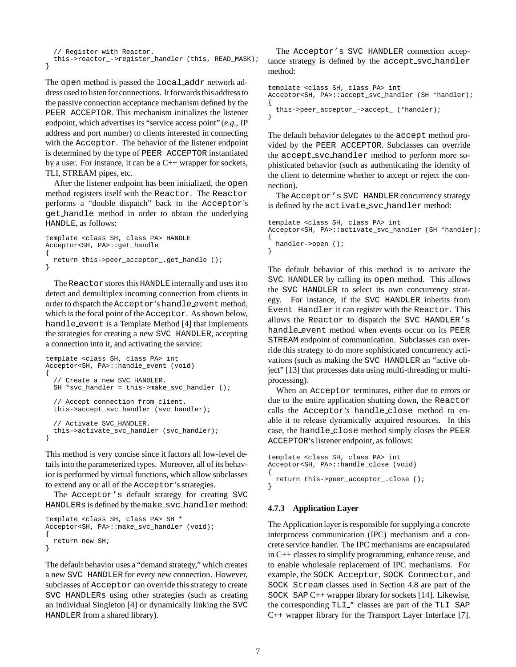```
// Register with Reactor.
 this->reactor_->register_handler (this, READ_MASK);
}
```
The open method is passed the local addr network address used to listen for connections. It forwards this address to the passive connection acceptance mechanism defined by the PEER ACCEPTOR. This mechanism initializes the listener endpoint, which advertises its "service access point" (*e.g.,* IP address and port number) to clients interested in connecting with the Acceptor. The behavior of the listener endpoint is determined by the type of PEER ACCEPTOR instantiated by a user. For instance, it can be a C++ wrapper for sockets, TLI, STREAM pipes, etc.

After the listener endpoint has been initialized, the open method registers itself with the Reactor. The Reactor performs a "double dispatch" back to the Acceptor's get handle method in order to obtain the underlying HANDLE, as follows:

```
template <class SH, class PA> HANDLE
Acceptor<SH, PA>::get_handle
{
  return this->peer_acceptor_.get_handle ();
}
```
The Reactor stores this HANDLE internally and uses it to detect and demultiplex incoming connection from clients in order to dispatch the Acceptor's handle event method, which is the focal point of the Acceptor. As shown below, handle event is a Template Method [4] that implements the strategies for creating a new SVC HANDLER, accepting a connection into it, and activating the service:

```
template <class SH, class PA> int
Acceptor<SH, PA>::handle_event (void)
{
  // Create a new SVC_HANDLER.
 SH *svc_handler = this->make_svc_handler ();
  // Accept connection from client.
  this->accept svc handler (svc handler);
  // Activate SVC_HANDLER.
  this->activate_svc_handler (svc_handler);
}
```
This method is very concise since it factors all low-level details into the parameterized types. Moreover, all of its behavior is performed by virtual functions, which allow subclasses to extend any or all of the Acceptor's strategies.

The Acceptor's default strategy for creating SVC HANDLERs is defined by the make\_svc\_handler method:

```
template <class SH, class PA> SH *
Acceptor<SH, PA>::make_svc_handler (void);
{
  return new SH;
}
```
The default behavior uses a "demand strategy," which creates a new SVC HANDLER for every new connection. However, subclasses of Acceptor can override this strategy to create SVC HANDLERs using other strategies (such as creating an individual Singleton [4] or dynamically linking the SVC HANDLER from a shared library).

The Acceptor's SVC HANDLER connection acceptance strategy is defined by the accept svc handler method:

```
template <class SH, class PA> int
Acceptor<SH, PA>::accept_svc_handler (SH *handler);
{
 this->peer_acceptor_->accept_ (*handler);
}
```
The default behavior delegates to the accept method provided by the PEER ACCEPTOR. Subclasses can override the accept svc handler method to perform more sophisticated behavior (such as authenticating the identity of the client to determine whether to accept or reject the connection).

The Acceptor's SVC HANDLER concurrency strategy is defined by the activate\_svc\_handler method:

```
template <class SH, class PA> int
Acceptor<SH, PA>::activate_svc_handler (SH *handler);
{
 handler->open ();
}
```
The default behavior of this method is to activate the SVC HANDLER by calling its open method. This allows the SVC HANDLER to select its own concurrency strategy. For instance, if the SVC HANDLER inherits from Event Handler it can register with the Reactor. This allows the Reactor to dispatch the SVC HANDLER's handle event method when events occur on its PEER STREAM endpoint of communication. Subclasses can override this strategy to do more sophisticated concurrency activations (such as making the SVC HANDLER an "active object" [13] that processes data using multi-threading or multiprocessing).

When an Acceptor terminates, either due to errors or due to the entire application shutting down, the Reactor calls the Acceptor's handle close method to enable it to release dynamically acquired resources. In this case, the handle close method simply closes the PEER ACCEPTOR's listener endpoint, as follows:

```
template <class SH, class PA> int
Acceptor<SH, PA>::handle_close (void)
{
 return this->peer_acceptor_.close ();
}
```
#### **4.7.3 Application Layer**

The Application layer is responsible for supplying a concrete interprocess communication (IPC) mechanism and a concrete service handler. The IPC mechanisms are encapsulated in C++ classes to simplify programming, enhance reuse, and to enable wholesale replacement of IPC mechanisms. For example, the SOCK Acceptor, SOCK Connector, and SOCK Stream classes used in Section 4.8 are part of the SOCK SAP C++ wrapper library for sockets [14]. Likewise, the corresponding  $TLI_*$  classes are part of the  $TLI$  SAP C++ wrapper library for the Transport Layer Interface [7].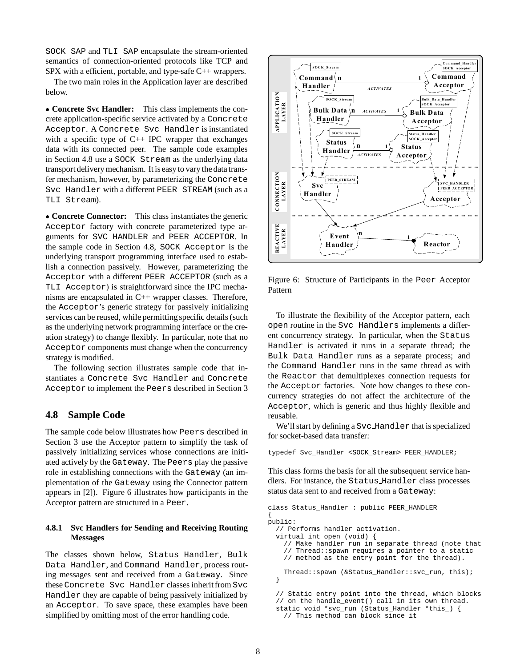SOCK SAP and TLI SAP encapsulate the stream-oriented semantics of connection-oriented protocols like TCP and SPX with a efficient, portable, and type-safe C++ wrappers.

The two main roles in the Application layer are described below.

 **Concrete Svc Handler:** This class implements the concrete application-specific service activated by a Concrete Acceptor. A Concrete Svc Handler is instantiated with a specific type of  $C++$  IPC wrapper that exchanges data with its connected peer. The sample code examples in Section 4.8 use a SOCK Stream as the underlying data transport delivery mechanism. It is easy to vary the data transfer mechanism, however, by parameterizing the Concrete Svc Handler with a different PEER STREAM (such as a TLI Stream).

 **Concrete Connector:** This class instantiates the generic Acceptor factory with concrete parameterized type arguments for SVC HANDLER and PEER ACCEPTOR. In the sample code in Section 4.8, SOCK Acceptor is the underlying transport programming interface used to establish a connection passively. However, parameterizing the Acceptor with a different PEER ACCEPTOR (such as a TLI Acceptor) is straightforward since the IPC mechanisms are encapsulated in C++ wrapper classes. Therefore, the Acceptor's generic strategy for passively initializing services can be reused, while permitting specific details (such as the underlying network programming interface or the creation strategy) to change flexibly. In particular, note that no Acceptor components must change when the concurrency strategy is modified.

The following section illustrates sample code that instantiates a Concrete Svc Handler and Concrete Acceptor to implement the Peers described in Section 3

### **4.8 Sample Code**

The sample code below illustrates how Peers described in Section 3 use the Acceptor pattern to simplify the task of passively initializing services whose connections are initiated actively by the Gateway. The Peers play the passive role in establishing connections with the Gateway (an implementation of the Gateway using the Connector pattern appears in [2]). Figure 6 illustrates how participants in the Acceptor pattern are structured in a Peer.

### **4.8.1 Svc Handlers for Sending and Receiving Routing Messages**

The classes shown below, Status Handler, Bulk Data Handler, and Command Handler, process routing messages sent and received from a Gateway. Since these Concrete Svc Handler classes inherit from Svc Handler they are capable of being passively initialized by an Acceptor. To save space, these examples have been simplified by omitting most of the error handling code.



Figure 6: Structure of Participants in the Peer Acceptor Pattern

To illustrate the flexibility of the Acceptor pattern, each open routine in the Svc Handlers implements a different concurrency strategy. In particular, when the Status Handler is activated it runs in a separate thread; the Bulk Data Handler runs as a separate process; and the Command Handler runs in the same thread as with the Reactor that demultiplexes connection requests for the Acceptor factories. Note how changes to these concurrency strategies do not affect the architecture of the Acceptor, which is generic and thus highly flexible and reusable.

We'll start by defining a Svc Handler that is specialized for socket-based data transfer:

typedef Svc\_Handler <SOCK\_Stream> PEER\_HANDLER;

This class forms the basis for all the subsequent service handlers. For instance, the Status Handler class processes status data sent to and received from a Gateway:

```
class Status_Handler : public PEER_HANDLER
{
public:
 // Performs handler activation.
 virtual int open (void) {
    // Make handler run in separate thread (note that
    // Thread::spawn requires a pointer to a static
    // method as the entry point for the thread).
    Thread::spawn (&Status_Handler::svc_run, this);
 }
 // Static entry point into the thread, which blocks
 // on the handle_event() call in its own thread.
 static void *svc_run (Status_Handler *this_) {
```

```
// This method can block since it
```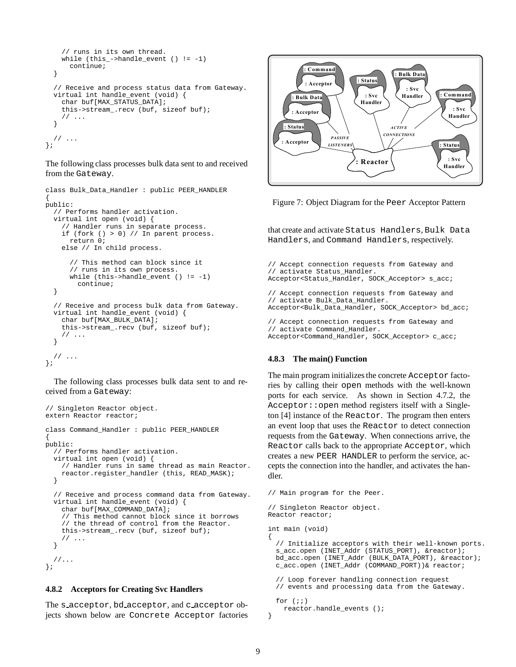```
// runs in its own thread.
    while (this_-\text{-}channele_event () != -1)continue;
  }
  // Receive and process status data from Gateway.
  virtual int handle_event (void) {
    char buf[MAX_STATUS_DATA];
    this->stream_.recv (buf, sizeof buf);
    // ...
  }
  // \ldots};
```
The following class processes bulk data sent to and received from the Gateway.

```
class Bulk_Data_Handler : public PEER_HANDLER
{
public:
  // Performs handler activation.
  virtual int open (void) {
    // Handler runs in separate process.
    if (fork () > 0) // In parent process.
     return 0;
    else // In child process.
      // This method can block since it
      // runs in its own process.
      while (this->handle_event () != -1)
        continue;
  }
  // Receive and process bulk data from Gateway.
  virtual int handle_event (void) {
    char buf[MAX_BULK_DATA];
    this->stream_.recv (buf, sizeof buf);
    // ...
  }
  // ...
};
```
The following class processes bulk data sent to and received from a Gateway:

```
// Singleton Reactor object.
extern Reactor reactor;
class Command_Handler : public PEER_HANDLER
{
public:
 // Performs handler activation.
  virtual int open (void) {
    // Handler runs in same thread as main Reactor.
   reactor.register_handler (this, READ_MASK);
  }
  // Receive and process command data from Gateway.
  virtual int handle_event (void) {
    char buf[MAX_COMMAND_DATA];
    // This method cannot block since it borrows
    // the thread of control from the Reactor.
    this->stream_.recv (buf, sizeof buf);
    // ...
  }
  //...
};
```
#### **4.8.2 Acceptors for Creating Svc Handlers**

The s acceptor, bd acceptor, and c acceptor objects shown below are Concrete Acceptor factories



Figure 7: Object Diagram for the Peer Acceptor Pattern

that create and activate Status Handlers, Bulk Data Handlers, and Command Handlers, respectively.

```
// Accept connection requests from Gateway and
// activate Status_Handler.
Acceptor<Status_Handler, SOCK_Acceptor> s_acc;
// Accept connection requests from Gateway and
// activate Bulk_Data_Handler.
Acceptor<Bulk_Data_Handler, SOCK_Acceptor> bd_acc;
```
// Accept connection requests from Gateway and // activate Command\_Handler. Acceptor<Command\_Handler, SOCK\_Acceptor> c\_acc;

#### **4.8.3 The main() Function**

The main program initializes the concrete Acceptor factories by calling their open methods with the well-known ports for each service. As shown in Section 4.7.2, the Acceptor::open method registers itself with a Singleton [4] instance of the Reactor. The program then enters an event loop that uses the Reactor to detect connection requests from the Gateway. When connections arrive, the Reactor calls back to the appropriate Acceptor, which creates a new PEER HANDLER to perform the service, accepts the connection into the handler, and activates the handler.

```
// Main program for the Peer.
// Singleton Reactor object.
Reactor reactor;
int main (void)
 // Initialize acceptors with their well-known ports.
 s_acc.open (INET_Addr (STATUS_PORT), &reactor);
 bd_acc.open (INET_Addr (BULK_DATA_PORT), &reactor);
 c_acc.open (INET_Addr (COMMAND_PORT))& reactor;
  // Loop forever handling connection request
  // events and processing data from the Gateway.
 for (i;1)
```

```
reactor.handle_events ();
}
```
{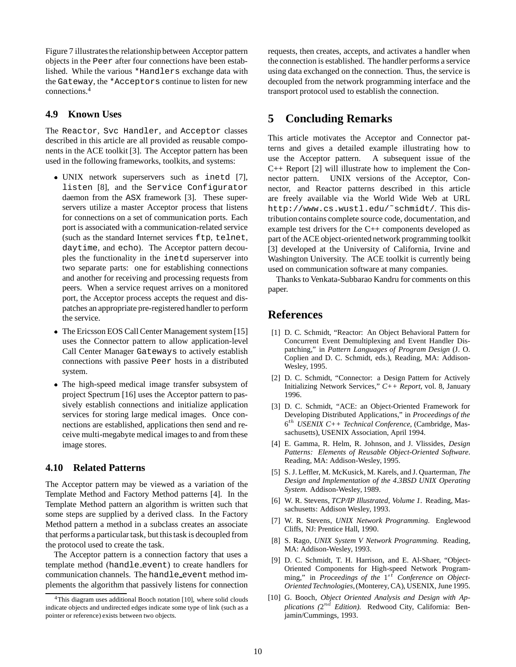Figure 7 illustrates the relationship between Acceptor pattern objects in the Peer after four connections have been established. While the various \*Handlers exchange data with the Gateway, the \*Acceptors continue to listen for new connections.4

### **4.9 Known Uses**

The Reactor, Svc Handler, and Acceptor classes described in this article are all provided as reusable components in the ACE toolkit [3]. The Acceptor pattern has been used in the following frameworks, toolkits, and systems:

- UNIX network superservers such as inetd [7], listen [8], and the Service Configurator daemon from the ASX framework [3]. These superservers utilize a master Acceptor process that listens for connections on a set of communication ports. Each port is associated with a communication-related service (such as the standard Internet services ftp, telnet, daytime, and echo). The Acceptor pattern decouples the functionality in the inetd superserver into two separate parts: one for establishing connections and another for receiving and processing requests from peers. When a service request arrives on a monitored port, the Acceptor process accepts the request and dispatches an appropriate pre-registered handler to perform the service.
- The Ericsson EOS Call Center Management system [15] uses the Connector pattern to allow application-level Call Center Manager Gateways to actively establish connections with passive Peer hosts in a distributed system.
- The high-speed medical image transfer subsystem of project Spectrum [16] uses the Acceptor pattern to passively establish connections and initialize application services for storing large medical images. Once connections are established, applications then send and receive multi-megabyte medical images to and from these image stores.

### **4.10 Related Patterns**

The Acceptor pattern may be viewed as a variation of the Template Method and Factory Method patterns [4]. In the Template Method pattern an algorithm is written such that some steps are supplied by a derived class. In the Factory Method pattern a method in a subclass creates an associate that performs a particular task, but this task is decoupled from the protocol used to create the task.

The Acceptor pattern is a connection factory that uses a template method (handle event) to create handlers for communication channels. The handle event method implements the algorithm that passively listens for connection

requests, then creates, accepts, and activates a handler when the connection is established. The handler performs a service using data exchanged on the connection. Thus, the service is decoupled from the network programming interface and the transport protocol used to establish the connection.

## **5 Concluding Remarks**

This article motivates the Acceptor and Connector patterns and gives a detailed example illustrating how to use the Acceptor pattern. A subsequent issue of the C++ Report [2] will illustrate how to implement the Connector pattern. UNIX versions of the Acceptor, Connector, and Reactor patterns described in this article are freely available via the World Wide Web at URL http://www.cs.wustl.edu/˜schmidt/. This distributioncontains complete source code, documentation, and example test drivers for the C++ components developed as part of the ACE object-oriented network programming toolkit [3] developed at the University of California, Irvine and Washington University. The ACE toolkit is currently being used on communication software at many companies.

Thanks to Venkata-Subbarao Kandru for comments on this paper.

## **References**

- [1] D. C. Schmidt, "Reactor: An Object Behavioral Pattern for Concurrent Event Demultiplexing and Event Handler Dispatching," in *Pattern Languages of Program Design* (J. O. Coplien and D. C. Schmidt, eds.), Reading, MA: Addison-Wesley, 1995.
- [2] D. C. Schmidt, "Connector: a Design Pattern for Actively Initializing Network Services," *C++ Report*, vol. 8, January 1996.
- [3] D. C. Schmidt, "ACE: an Object-Oriented Framework for Developing Distributed Applications," in *Proceedings of the* 6th *USENIX C++ Technical Conference*, (Cambridge, Massachusetts), USENIX Association, April 1994.
- [4] E. Gamma, R. Helm, R. Johnson, and J. Vlissides, *Design Patterns: Elements of Reusable Object-Oriented Software*. Reading, MA: Addison-Wesley, 1995.
- [5] S. J. Leffler, M. McKusick, M. Karels, and J. Quarterman, *The Design and Implementation of the 4.3BSD UNIX Operating System*. Addison-Wesley, 1989.
- [6] W. R. Stevens, *TCP/IP Illustrated, Volume 1*. Reading, Massachusetts: Addison Wesley, 1993.
- [7] W. R. Stevens, *UNIX Network Programming*. Englewood Cliffs, NJ: Prentice Hall, 1990.
- [8] S. Rago, *UNIX System V Network Programming*. Reading, MA: Addison-Wesley, 1993.
- [9] D. C. Schmidt, T. H. Harrison, and E. Al-Shaer, "Object-Oriented Components for High-speed Network Programming," in *Proceedings of the* 1<sup>st</sup> Conference on Object-*Oriented Technologies*,(Monterey, CA), USENIX, June 1995.
- [10] G. Booch, *Object Oriented Analysis and Design with Applications (*2nd *Edition)*. Redwood City, California: Benjamin/Cummings, 1993.

<sup>&</sup>lt;sup>4</sup>This diagram uses additional Booch notation [10], where solid clouds indicate objects and undirected edges indicate some type of link (such as a pointer or reference) exists between two objects.